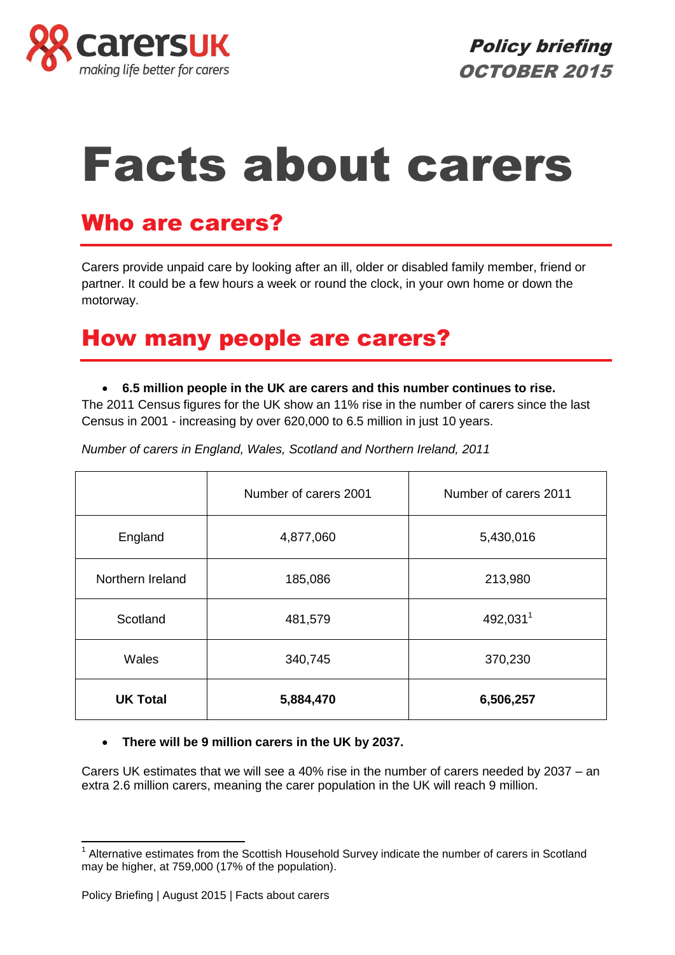

# Facts about carers

# Who are carers?

Carers provide unpaid care by looking after an ill, older or disabled family member, friend or partner. It could be a few hours a week or round the clock, in your own home or down the motorway.

# How many people are carers?

#### **6.5 million people in the UK are carers and this number continues to rise.**

The 2011 Census figures for the UK show an 11% rise in the number of carers since the last Census in 2001 - increasing by over 620,000 to 6.5 million in just 10 years.

*Number of carers in England, Wales, Scotland and Northern Ireland, 2011*

|                  | Number of carers 2001 | Number of carers 2011 |
|------------------|-----------------------|-----------------------|
| England          | 4,877,060             | 5,430,016             |
| Northern Ireland | 185,086               | 213,980               |
| Scotland         | 481,579               | 492,0311              |
| Wales            | 340,745               | 370,230               |
| <b>UK Total</b>  | 5,884,470             | 6,506,257             |

#### **There will be 9 million carers in the UK by 2037.**

Carers UK estimates that we will see a 40% rise in the number of carers needed by 2037 – an extra 2.6 million carers, meaning the carer population in the UK will reach 9 million.

<sup>-</sup><sup>1</sup> Alternative estimates from the Scottish Household Survey indicate the number of carers in Scotland may be higher, at 759,000 (17% of the population).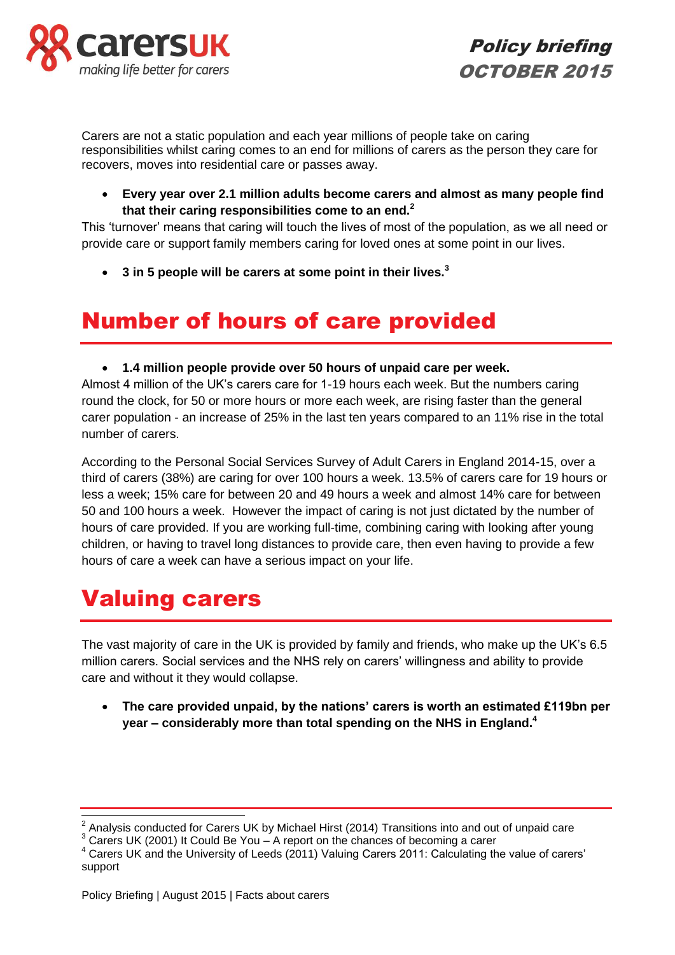



Carers are not a static population and each year millions of people take on caring responsibilities whilst caring comes to an end for millions of carers as the person they care for recovers, moves into residential care or passes away.

 **Every year over 2.1 million adults become carers and almost as many people find that their caring responsibilities come to an end.<sup>2</sup>**

This 'turnover' means that caring will touch the lives of most of the population, as we all need or provide care or support family members caring for loved ones at some point in our lives.

**3 in 5 people will be carers at some point in their lives.<sup>3</sup>**

# Number of hours of care provided

#### **1.4 million people provide over 50 hours of unpaid care per week.**

Almost 4 million of the UK's carers care for 1-19 hours each week. But the numbers caring round the clock, for 50 or more hours or more each week, are rising faster than the general carer population - an increase of 25% in the last ten years compared to an 11% rise in the total number of carers.

According to the Personal Social Services Survey of Adult Carers in England 2014-15, over a third of carers (38%) are caring for over 100 hours a week. 13.5% of carers care for 19 hours or less a week; 15% care for between 20 and 49 hours a week and almost 14% care for between 50 and 100 hours a week. However the impact of caring is not just dictated by the number of hours of care provided. If you are working full-time, combining caring with looking after young children, or having to travel long distances to provide care, then even having to provide a few hours of care a week can have a serious impact on your life.

# Valuing carers

 $\overline{a}$ 

The vast majority of care in the UK is provided by family and friends, who make up the UK's 6.5 million carers. Social services and the NHS rely on carers' willingness and ability to provide care and without it they would collapse.

 **The care provided unpaid, by the nations' carers is worth an estimated £119bn per year – considerably more than total spending on the NHS in England. 4** 

<sup>2</sup> Analysis conducted for Carers UK by Michael Hirst (2014) Transitions into and out of unpaid care

<sup>&</sup>lt;sup>3</sup> Carers UK (2001) It Could Be You – A report on the chances of becoming a carer

<sup>&</sup>lt;sup>4</sup> Carers UK and the University of Leeds (2011) Valuing Carers 2011: Calculating the value of carers' support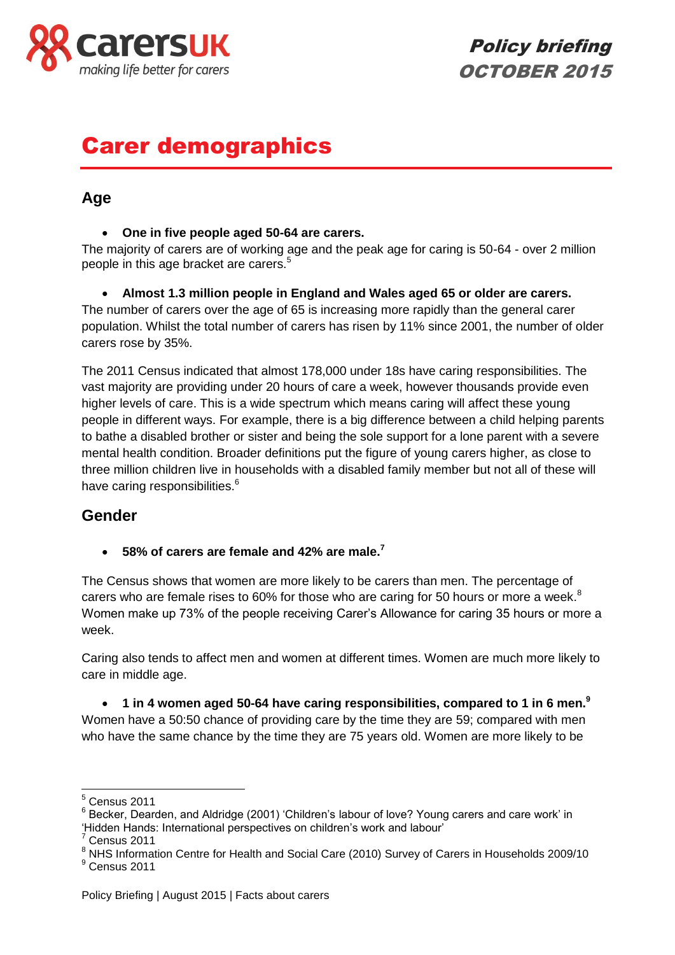

Policy briefing OCTOBER 2015

# Carer demographics

### **Age**

#### **One in five people aged 50-64 are carers.**

The majority of carers are of working age and the peak age for caring is 50-64 - over 2 million people in this age bracket are carers.<sup>5</sup>

 **Almost 1.3 million people in England and Wales aged 65 or older are carers.** The number of carers over the age of 65 is increasing more rapidly than the general carer population. Whilst the total number of carers has risen by 11% since 2001, the number of older carers rose by 35%.

The 2011 Census indicated that almost 178,000 under 18s have caring responsibilities. The vast majority are providing under 20 hours of care a week, however thousands provide even higher levels of care. This is a wide spectrum which means caring will affect these young people in different ways. For example, there is a big difference between a child helping parents to bathe a disabled brother or sister and being the sole support for a lone parent with a severe mental health condition. Broader definitions put the figure of young carers higher, as close to three million children live in households with a disabled family member but not all of these will have caring responsibilities.<sup>6</sup>

### **Gender**

**58% of carers are female and 42% are male.<sup>7</sup>**

The Census shows that women are more likely to be carers than men. The percentage of carers who are female rises to 60% for those who are caring for 50 hours or more a week. $8$ Women make up 73% of the people receiving Carer's Allowance for caring 35 hours or more a week.

Caring also tends to affect men and women at different times. Women are much more likely to care in middle age.

 **1 in 4 women aged 50-64 have caring responsibilities, compared to 1 in 6 men.<sup>9</sup>** Women have a 50:50 chance of providing care by the time they are 59; compared with men who have the same chance by the time they are 75 years old. Women are more likely to be

 $\overline{a}$ 

 $<sup>5</sup>$  Census 2011</sup>

<sup>&</sup>lt;sup>6</sup> Becker, Dearden, and Aldridge (2001) 'Children's labour of love? Young carers and care work' in

<sup>&#</sup>x27;Hidden Hands: International perspectives on children's work and labour'

 $7$  Census 2011

<sup>8</sup> Schodo 2011<br>
<sup>8</sup> NHS Information Centre for Health and Social Care (2010) Survey of Carers in Households 2009/10 <sup>9</sup> Census 2011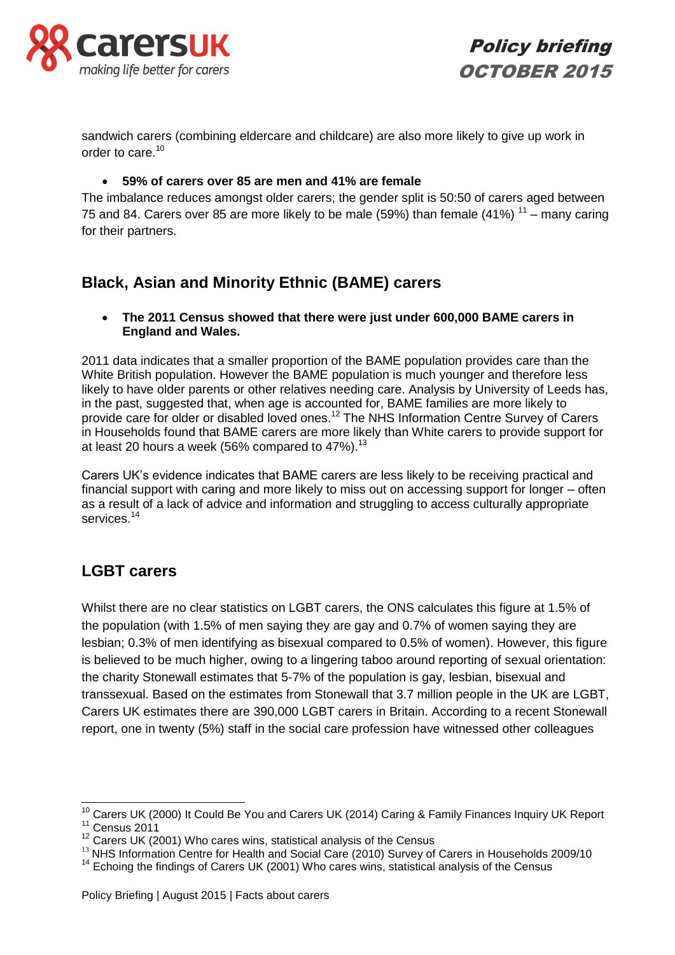

Policy briefing OCTOBER 2015

sandwich carers (combining eldercare and childcare) are also more likely to give up work in order to care.<sup>10</sup>

#### **59% of carers over 85 are men and 41% are female**

The imbalance reduces amongst older carers; the gender split is 50:50 of carers aged between 75 and 84. Carers over 85 are more likely to be male (59%) than female (41%)  $^{11}$  – many caring for their partners.

### **Black, Asian and Minority Ethnic (BAME) carers**

 **The 2011 Census showed that there were just under 600,000 BAME carers in England and Wales.** 

2011 data indicates that a smaller proportion of the BAME population provides care than the White British population. However the BAME population is much younger and therefore less likely to have older parents or other relatives needing care. Analysis by University of Leeds has, in the past, suggested that, when age is accounted for, BAME families are more likely to provide care for older or disabled loved ones.<sup>12</sup> The NHS Information Centre Survey of Carers in Households found that BAME carers are more likely than White carers to provide support for at least 20 hours a week (56% compared to  $47\%$ ).<sup>13</sup>

Carers UK's evidence indicates that BAME carers are less likely to be receiving practical and financial support with caring and more likely to miss out on accessing support for longer – often as a result of a lack of advice and information and struggling to access culturally appropriate services.<sup>14</sup>

### **LGBT carers**

-

Whilst there are no clear statistics on LGBT carers, the ONS calculates this figure at 1.5% of the population (with 1.5% of men saying they are gay and 0.7% of women saying they are lesbian; 0.3% of men identifying as bisexual compared to 0.5% of women). However, this figure is believed to be much higher, owing to a lingering taboo around reporting of sexual orientation: the charity Stonewall estimates that 5-7% of the population is gay, lesbian, bisexual and transsexual. Based on the estimates from Stonewall that 3.7 million people in the UK are LGBT, Carers UK estimates there are 390,000 LGBT carers in Britain. According to a recent Stonewall report, one in twenty (5%) staff in the social care profession have witnessed other colleagues

 $10$  Carers UK (2000) It Could Be You and Carers UK (2014) Caring & Family Finances Inquiry UK Report  $11$  Census 2011

<sup>&</sup>lt;sup>12</sup> Carers UK (2001) Who cares wins, statistical analysis of the Census

<sup>&</sup>lt;sup>13</sup> NHS Information Centre for Health and Social Care (2010) Survey of Carers in Households 2009/10

 $14$  Echoing the findings of Carers UK (2001) Who cares wins, statistical analysis of the Census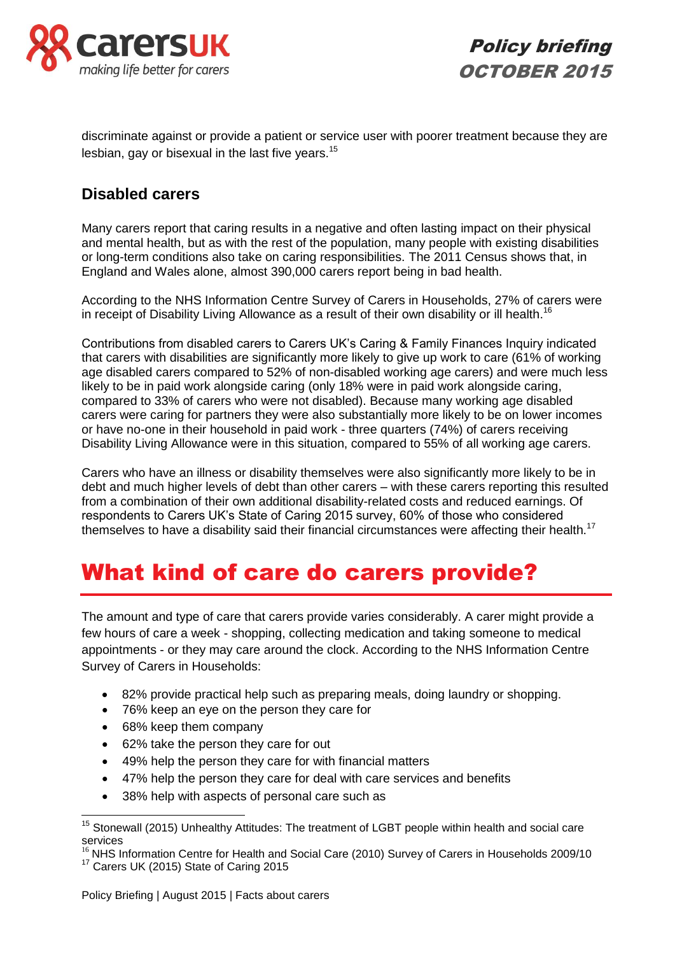

Policy briefing OCTOBER 2015

discriminate against or provide a patient or service user with poorer treatment because they are lesbian, gay or bisexual in the last five years.<sup>15</sup>

### **Disabled carers**

Many carers report that caring results in a negative and often lasting impact on their physical and mental health, but as with the rest of the population, many people with existing disabilities or long-term conditions also take on caring responsibilities. The 2011 Census shows that, in England and Wales alone, almost 390,000 carers report being in bad health.

According to the NHS Information Centre Survey of Carers in Households, 27% of carers were in receipt of Disability Living Allowance as a result of their own disability or ill health.<sup>16</sup>

Contributions from disabled carers to Carers UK's Caring & Family Finances Inquiry indicated that carers with disabilities are significantly more likely to give up work to care (61% of working age disabled carers compared to 52% of non-disabled working age carers) and were much less likely to be in paid work alongside caring (only 18% were in paid work alongside caring, compared to 33% of carers who were not disabled). Because many working age disabled carers were caring for partners they were also substantially more likely to be on lower incomes or have no-one in their household in paid work - three quarters (74%) of carers receiving Disability Living Allowance were in this situation, compared to 55% of all working age carers.

Carers who have an illness or disability themselves were also significantly more likely to be in debt and much higher levels of debt than other carers – with these carers reporting this resulted from a combination of their own additional disability-related costs and reduced earnings. Of respondents to Carers UK's State of Caring 2015 survey, 60% of those who considered themselves to have a disability said their financial circumstances were affecting their health.<sup>17</sup>

# What kind of care do carers provide?

The amount and type of care that carers provide varies considerably. A carer might provide a few hours of care a week - shopping, collecting medication and taking someone to medical appointments - or they may care around the clock. According to the NHS Information Centre Survey of Carers in Households:

- 82% provide practical help such as preparing meals, doing laundry or shopping.
- 76% keep an eve on the person they care for
- 68% keep them company

 $\overline{1}$ 

- 62% take the person they care for out
- 49% help the person they care for with financial matters
- 47% help the person they care for deal with care services and benefits
- 38% help with aspects of personal care such as

<sup>&</sup>lt;sup>15</sup> Stonewall (2015) Unhealthy Attitudes: The treatment of LGBT people within health and social care services

<sup>&</sup>lt;sup>16</sup> NHS Information Centre for Health and Social Care (2010) Survey of Carers in Households 2009/10 <sup>17</sup> Carers UK (2015) State of Caring 2015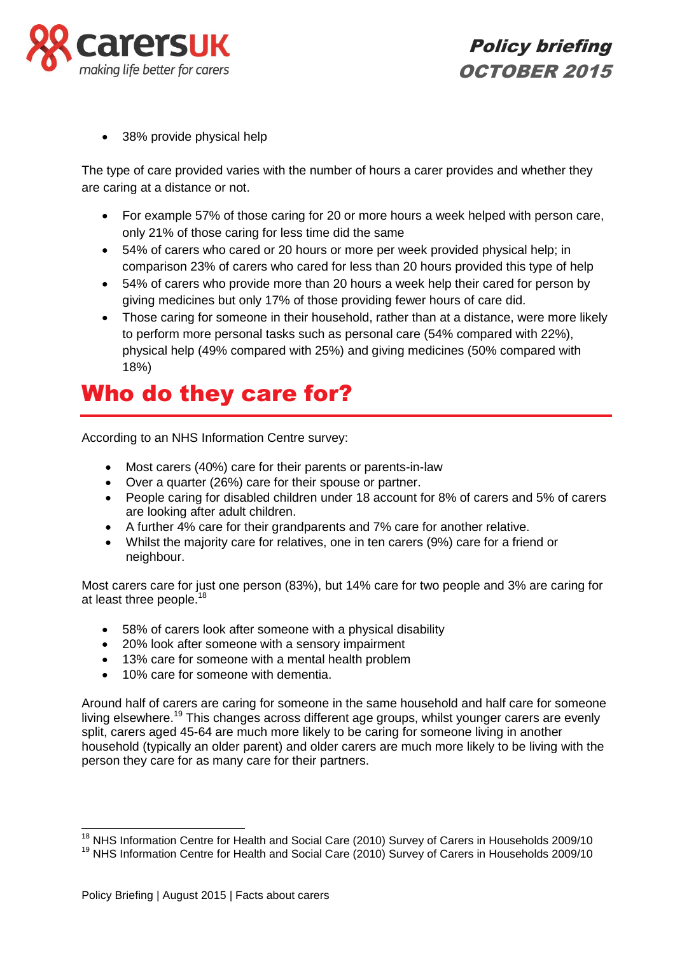

• 38% provide physical help

The type of care provided varies with the number of hours a carer provides and whether they are caring at a distance or not.

- For example 57% of those caring for 20 or more hours a week helped with person care, only 21% of those caring for less time did the same
- 54% of carers who cared or 20 hours or more per week provided physical help; in comparison 23% of carers who cared for less than 20 hours provided this type of help
- 54% of carers who provide more than 20 hours a week help their cared for person by giving medicines but only 17% of those providing fewer hours of care did.
- Those caring for someone in their household, rather than at a distance, were more likely to perform more personal tasks such as personal care (54% compared with 22%), physical help (49% compared with 25%) and giving medicines (50% compared with 18%)

# Who do they care for?

According to an NHS Information Centre survey:

- Most carers (40%) care for their parents or parents-in-law
- Over a quarter (26%) care for their spouse or partner.
- People caring for disabled children under 18 account for 8% of carers and 5% of carers are looking after adult children.
- A further 4% care for their grandparents and 7% care for another relative.
- Whilst the majority care for relatives, one in ten carers (9%) care for a friend or neighbour.

Most carers care for just one person (83%), but 14% care for two people and 3% are caring for at least three people.<sup>18</sup>

- 58% of carers look after someone with a physical disability
- 20% look after someone with a sensory impairment
- 13% care for someone with a mental health problem
- 10% care for someone with dementia.

Around half of carers are caring for someone in the same household and half care for someone living elsewhere.<sup>19</sup> This changes across different age groups, whilst younger carers are evenly split, carers aged 45-64 are much more likely to be caring for someone living in another household (typically an older parent) and older carers are much more likely to be living with the person they care for as many care for their partners.

 $\overline{1}$ 

<sup>&</sup>lt;sup>18</sup> NHS Information Centre for Health and Social Care (2010) Survey of Carers in Households 2009/10

<sup>&</sup>lt;sup>19</sup> NHS Information Centre for Health and Social Care (2010) Survey of Carers in Households 2009/10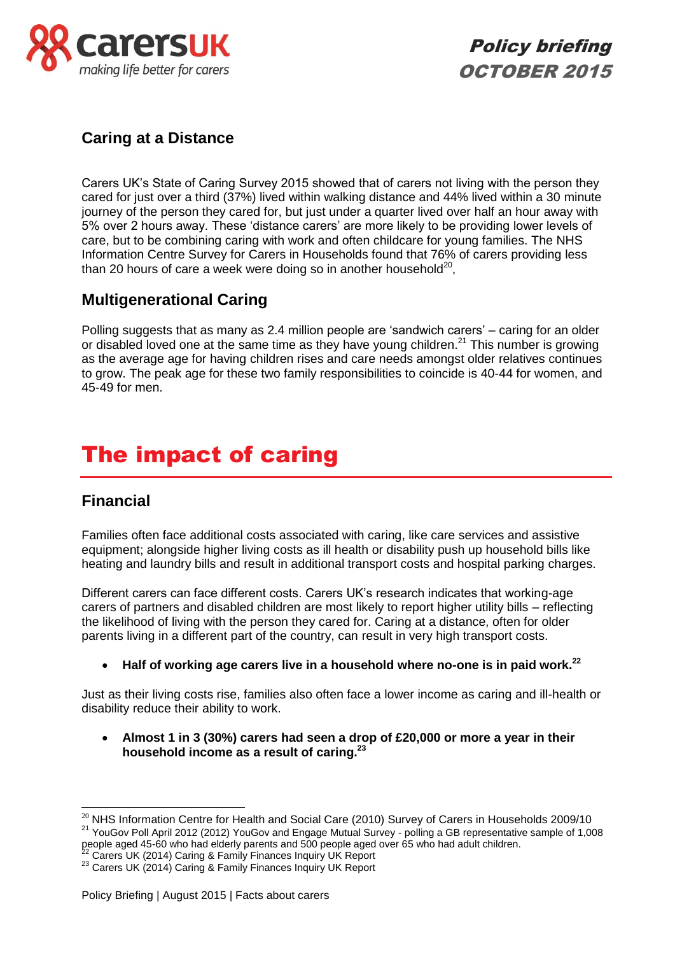



### **Caring at a Distance**

Carers UK's State of Caring Survey 2015 showed that of carers not living with the person they cared for just over a third (37%) lived within walking distance and 44% lived within a 30 minute journey of the person they cared for, but just under a quarter lived over half an hour away with 5% over 2 hours away. These 'distance carers' are more likely to be providing lower levels of care, but to be combining caring with work and often childcare for young families. The NHS Information Centre Survey for Carers in Households found that 76% of carers providing less than 20 hours of care a week were doing so in another household<sup>20</sup>,

### **Multigenerational Caring**

Polling suggests that as many as 2.4 million people are 'sandwich carers' – caring for an older or disabled loved one at the same time as they have young children.<sup>21</sup> This number is growing as the average age for having children rises and care needs amongst older relatives continues to grow. The peak age for these two family responsibilities to coincide is 40-44 for women, and 45-49 for men.

# The impact of caring

### **Financial**

-

Families often face additional costs associated with caring, like care services and assistive equipment; alongside higher living costs as ill health or disability push up household bills like heating and laundry bills and result in additional transport costs and hospital parking charges.

Different carers can face different costs. Carers UK's research indicates that working-age carers of partners and disabled children are most likely to report higher utility bills – reflecting the likelihood of living with the person they cared for. Caring at a distance, often for older parents living in a different part of the country, can result in very high transport costs.

**Half of working age carers live in a household where no-one is in paid work.<sup>22</sup>**

Just as their living costs rise, families also often face a lower income as caring and ill-health or disability reduce their ability to work.

 **Almost 1 in 3 (30%) carers had seen a drop of £20,000 or more a year in their household income as a result of caring.<sup>23</sup>**

 $20$  NHS Information Centre for Health and Social Care (2010) Survey of Carers in Households 2009/10 <sup>21</sup> YouGov Poll April 2012 (2012) YouGov and Engage Mutual Survey - polling a GB representative sample of 1,008 people aged 45-60 who had elderly parents and 500 people aged over 65 who had adult children.

 $2^2$  Carers UK (2014) Caring & Family Finances Inquiry UK Report

<sup>&</sup>lt;sup>23</sup> Carers UK (2014) Caring & Family Finances Inquiry UK Report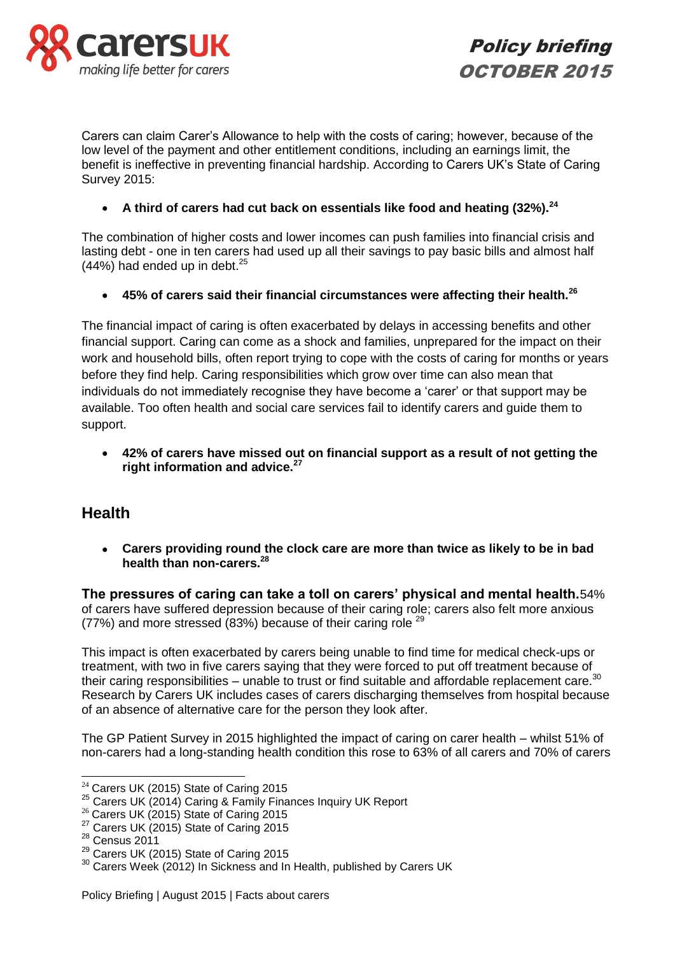

Policy briefing OCTOBER 2015

Carers can claim Carer's Allowance to help with the costs of caring; however, because of the low level of the payment and other entitlement conditions, including an earnings limit, the benefit is ineffective in preventing financial hardship. According to Carers UK's State of Caring Survey 2015:

**A third of carers had cut back on essentials like food and heating (32%).<sup>24</sup>**

The combination of higher costs and lower incomes can push families into financial crisis and lasting debt - one in ten carers had used up all their savings to pay basic bills and almost half  $(44%)$  had ended up in debt.<sup>25</sup>

**45% of carers said their financial circumstances were affecting their health.<sup>26</sup>**

The financial impact of caring is often exacerbated by delays in accessing benefits and other financial support. Caring can come as a shock and families, unprepared for the impact on their work and household bills, often report trying to cope with the costs of caring for months or years before they find help. Caring responsibilities which grow over time can also mean that individuals do not immediately recognise they have become a 'carer' or that support may be available. Too often health and social care services fail to identify carers and guide them to support.

 **42% of carers have missed out on financial support as a result of not getting the right information and advice.<sup>27</sup>**

### **Health**

 **Carers providing round the clock care are more than twice as likely to be in bad health than non-carers.<sup>28</sup>**

**The pressures of caring can take a toll on carers' physical and mental health.**54% of carers have suffered depression because of their caring role; carers also felt more anxious (77%) and more stressed (83%) because of their caring role<sup>29</sup>

This impact is often exacerbated by carers being unable to find time for medical check-ups or treatment, with two in five carers saying that they were forced to put off treatment because of their caring responsibilities – unable to trust or find suitable and affordable replacement care. $30$ Research by Carers UK includes cases of carers discharging themselves from hospital because of an absence of alternative care for the person they look after.

The GP Patient Survey in 2015 highlighted the impact of caring on carer health – whilst 51% of non-carers had a long-standing health condition this rose to 63% of all carers and 70% of carers

-

 $24$  Carers UK (2015) State of Caring 2015

 $25$  Carers UK (2014) Caring & Family Finances Inquiry UK Report

 $26$  Carers UK (2015) State of Caring 2015

<sup>&</sup>lt;sup>27</sup> Carers UK (2015) State of Caring 2015

<sup>28</sup> Census 2011

<sup>&</sup>lt;sup>29</sup> Carers UK (2015) State of Caring 2015

<sup>&</sup>lt;sup>30</sup> Carers Week (2012) In Sickness and In Health, published by Carers UK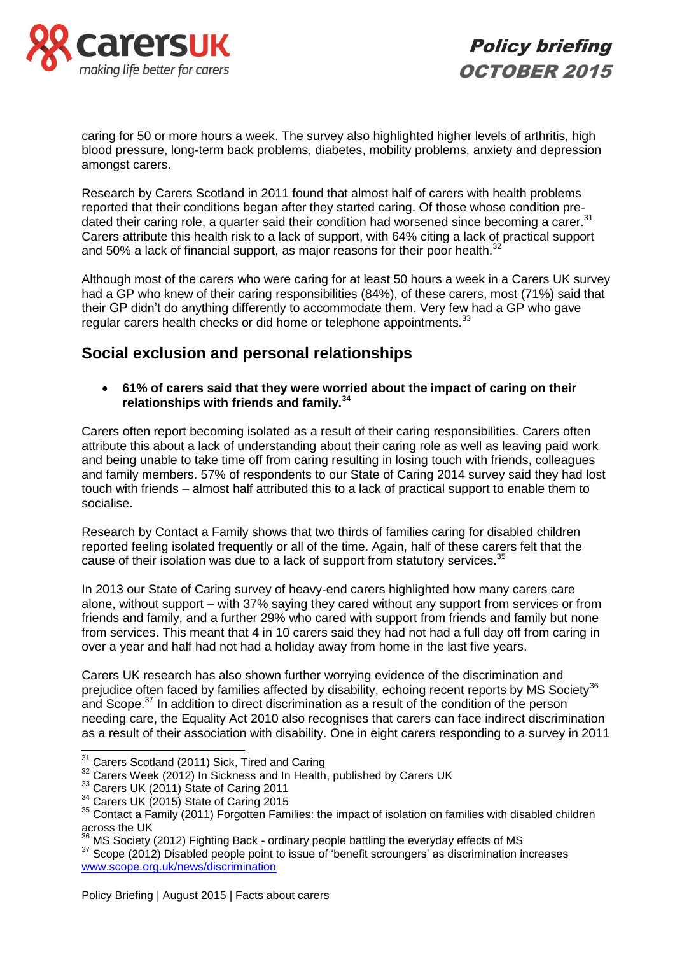

caring for 50 or more hours a week. The survey also highlighted higher levels of arthritis, high blood pressure, long-term back problems, diabetes, mobility problems, anxiety and depression amongst carers.

Research by Carers Scotland in 2011 found that almost half of carers with health problems reported that their conditions began after they started caring. Of those whose condition predated their caring role, a quarter said their condition had worsened since becoming a carer.<sup>31</sup> Carers attribute this health risk to a lack of support, with 64% citing a lack of practical support and 50% a lack of financial support, as major reasons for their poor health.<sup>32</sup>

Although most of the carers who were caring for at least 50 hours a week in a Carers UK survey had a GP who knew of their caring responsibilities (84%), of these carers, most (71%) said that their GP didn't do anything differently to accommodate them. Very few had a GP who gave regular carers health checks or did home or telephone appointments.<sup>33</sup>

### **Social exclusion and personal relationships**

 **61% of carers said that they were worried about the impact of caring on their relationships with friends and family.<sup>34</sup>**

Carers often report becoming isolated as a result of their caring responsibilities. Carers often attribute this about a lack of understanding about their caring role as well as leaving paid work and being unable to take time off from caring resulting in losing touch with friends, colleagues and family members. 57% of respondents to our State of Caring 2014 survey said they had lost touch with friends – almost half attributed this to a lack of practical support to enable them to socialise.

Research by Contact a Family shows that two thirds of families caring for disabled children reported feeling isolated frequently or all of the time. Again, half of these carers felt that the cause of their isolation was due to a lack of support from statutory services.<sup>35</sup>

In 2013 our State of Caring survey of heavy-end carers highlighted how many carers care alone, without support – with 37% saying they cared without any support from services or from friends and family, and a further 29% who cared with support from friends and family but none from services. This meant that 4 in 10 carers said they had not had a full day off from caring in over a year and half had not had a holiday away from home in the last five years.

Carers UK research has also shown further worrying evidence of the discrimination and prejudice often faced by families affected by disability, echoing recent reports by MS Society<sup>36</sup> and Scope.<sup>37</sup> In addition to direct discrimination as a result of the condition of the person needing care, the Equality Act 2010 also recognises that carers can face indirect discrimination as a result of their association with disability. One in eight carers responding to a survey in 2011

 $\overline{1}$  $31$  Carers Scotland (2011) Sick, Tired and Caring

<sup>&</sup>lt;sup>32</sup> Carers Week (2012) In Sickness and In Health, published by Carers UK

<sup>&</sup>lt;sup>33</sup> Carers UK (2011) State of Caring 2011

<sup>&</sup>lt;sup>34</sup> Carers UK (2015) State of Caring 2015

<sup>&</sup>lt;sup>35</sup> Contact a Family (2011) Forgotten Families: the impact of isolation on families with disabled children across the UK

<sup>&</sup>lt;sup>36</sup> MS Society (2012) Fighting Back - ordinary people battling the everyday effects of MS

<sup>&</sup>lt;sup>37</sup> Scope (2012) Disabled people point to issue of 'benefit scroungers' as discrimination increases [www.scope.org.uk/news/discrimination](http://www.scope.org.uk/news/discrimination)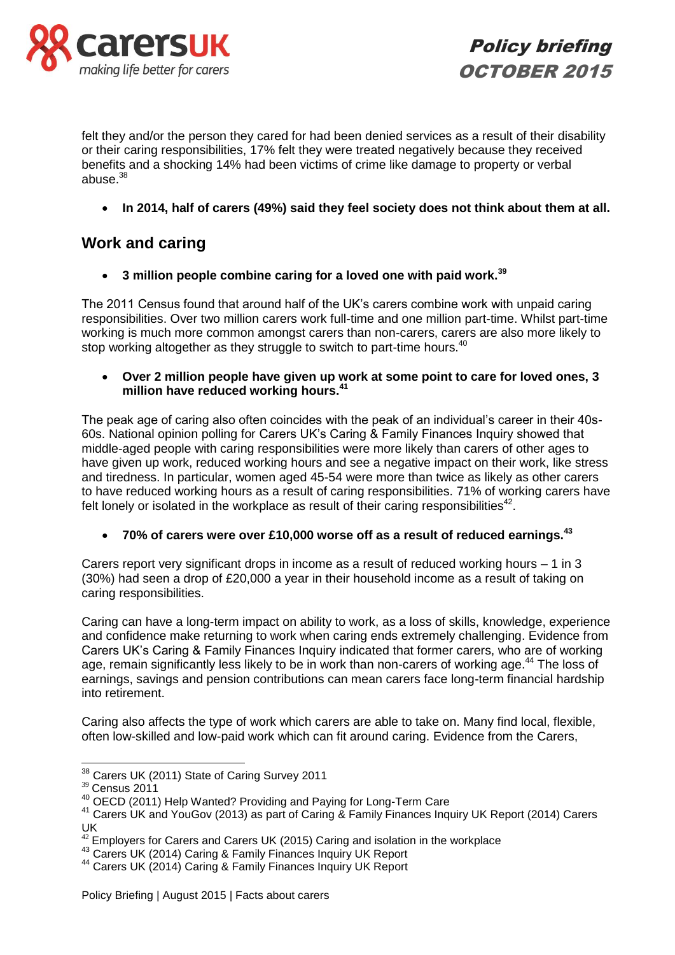

Policy briefing OCTOBER 2015

felt they and/or the person they cared for had been denied services as a result of their disability or their caring responsibilities, 17% felt they were treated negatively because they received benefits and a shocking 14% had been victims of crime like damage to property or verbal abuse. $38$ 

**In 2014, half of carers (49%) said they feel society does not think about them at all.** 

### **Work and caring**

**3 million people combine caring for a loved one with paid work.<sup>39</sup>**

The 2011 Census found that around half of the UK's carers combine work with unpaid caring responsibilities. Over two million carers work full-time and one million part-time. Whilst part-time working is much more common amongst carers than non-carers, carers are also more likely to stop working altogether as they struggle to switch to part-time hours.<sup>40</sup>

 **Over 2 million people have given up work at some point to care for loved ones, 3 million have reduced working hours.<sup>41</sup>**

The peak age of caring also often coincides with the peak of an individual's career in their 40s-60s. National opinion polling for Carers UK's Caring & Family Finances Inquiry showed that middle-aged people with caring responsibilities were more likely than carers of other ages to have given up work, reduced working hours and see a negative impact on their work, like stress and tiredness. In particular, women aged 45-54 were more than twice as likely as other carers to have reduced working hours as a result of caring responsibilities. 71% of working carers have felt lonely or isolated in the workplace as result of their caring responsibilities $42$ .

**70% of carers were over £10,000 worse off as a result of reduced earnings.<sup>43</sup>**

Carers report very significant drops in income as a result of reduced working hours – 1 in 3 (30%) had seen a drop of £20,000 a year in their household income as a result of taking on caring responsibilities.

Caring can have a long-term impact on ability to work, as a loss of skills, knowledge, experience and confidence make returning to work when caring ends extremely challenging. Evidence from Carers UK's Caring & Family Finances Inquiry indicated that former carers, who are of working age, remain significantly less likely to be in work than non-carers of working age.<sup>44</sup> The loss of earnings, savings and pension contributions can mean carers face long-term financial hardship into retirement.

Caring also affects the type of work which carers are able to take on. Many find local, flexible, often low-skilled and low-paid work which can fit around caring. Evidence from the Carers,

<sup>-</sup><sup>38</sup> Carers UK (2011) State of Caring Survey 2011

<sup>39</sup> Census 2011

<sup>40</sup> OECD (2011) Help Wanted? Providing and Paying for Long-Term Care

<sup>&</sup>lt;sup>41</sup> Carers UK and YouGov (2013) as part of Caring & Family Finances Inquiry UK Report (2014) Carers UK

 $42$  Employers for Carers and Carers UK (2015) Caring and isolation in the workplace

<sup>&</sup>lt;sup>43</sup> Carers UK (2014) Caring & Family Finances Inquiry UK Report

<sup>44</sup> Carers UK (2014) Caring & Family Finances Inquiry UK Report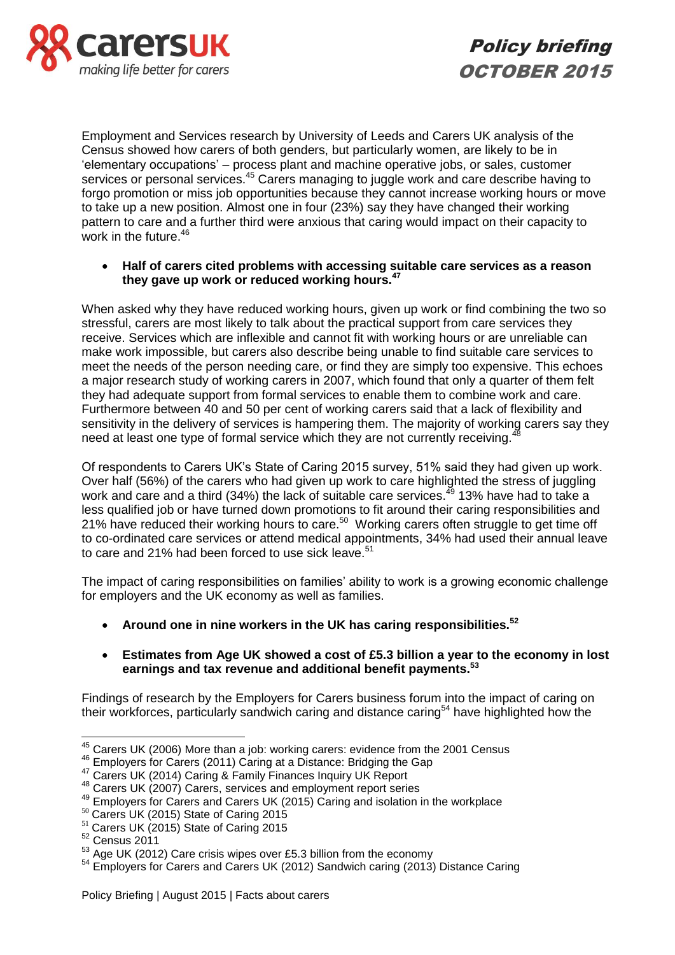

Employment and Services research by University of Leeds and Carers UK analysis of the Census showed how carers of both genders, but particularly women, are likely to be in 'elementary occupations' – process plant and machine operative jobs, or sales, customer services or personal services.<sup>45</sup> Carers managing to juggle work and care describe having to forgo promotion or miss job opportunities because they cannot increase working hours or move to take up a new position. Almost one in four (23%) say they have changed their working pattern to care and a further third were anxious that caring would impact on their capacity to work in the future.<sup>46</sup>

 **Half of carers cited problems with accessing suitable care services as a reason they gave up work or reduced working hours.<sup>47</sup>**

When asked why they have reduced working hours, given up work or find combining the two so stressful, carers are most likely to talk about the practical support from care services they receive. Services which are inflexible and cannot fit with working hours or are unreliable can make work impossible, but carers also describe being unable to find suitable care services to meet the needs of the person needing care, or find they are simply too expensive. This echoes a major research study of working carers in 2007, which found that only a quarter of them felt they had adequate support from formal services to enable them to combine work and care. Furthermore between 40 and 50 per cent of working carers said that a lack of flexibility and sensitivity in the delivery of services is hampering them. The majority of working carers say they need at least one type of formal service which they are not currently receiving.<sup>48</sup>

Of respondents to Carers UK's State of Caring 2015 survey, 51% said they had given up work. Over half (56%) of the carers who had given up work to care highlighted the stress of juggling work and care and a third (34%) the lack of suitable care services.<sup>49</sup> 13% have had to take a less qualified job or have turned down promotions to fit around their caring responsibilities and 21% have reduced their working hours to care.<sup>50</sup> Working carers often struggle to get time off to co-ordinated care services or attend medical appointments, 34% had used their annual leave to care and 21% had been forced to use sick leave.<sup>51</sup>

The impact of caring responsibilities on families' ability to work is a growing economic challenge for employers and the UK economy as well as families.

**Around one in nine workers in the UK has caring responsibilities.<sup>52</sup>**

#### **Estimates from Age UK showed a cost of £5.3 billion a year to the economy in lost earnings and tax revenue and additional benefit payments.<sup>53</sup>**

Findings of research by the Employers for Carers business forum into the impact of caring on their workforces, particularly sandwich caring and distance caring<sup>54</sup> have highlighted how the

 $\overline{a}$ 

 $45$  Carers UK (2006) More than a job: working carers: evidence from the 2001 Census

<sup>46</sup> Employers for Carers (2011) Caring at a Distance: Bridging the Gap

<sup>&</sup>lt;sup>47</sup> Carers UK (2014) Caring & Family Finances Inquiry UK Report

<sup>48</sup> Carers UK (2007) Carers, services and employment report series

<sup>&</sup>lt;sup>49</sup> Employers for Carers and Carers UK (2015) Caring and isolation in the workplace

<sup>&</sup>lt;sup>50</sup> Carers UK (2015) State of Caring 2015

<sup>&</sup>lt;sup>51</sup> Carers UK (2015) State of Caring 2015

 $52$  Census 2011

<sup>&</sup>lt;sup>53</sup> Age UK (2012) Care crisis wipes over £5.3 billion from the economy

<sup>&</sup>lt;sup>54</sup> Employers for Carers and Carers UK (2012) Sandwich caring (2013) Distance Caring